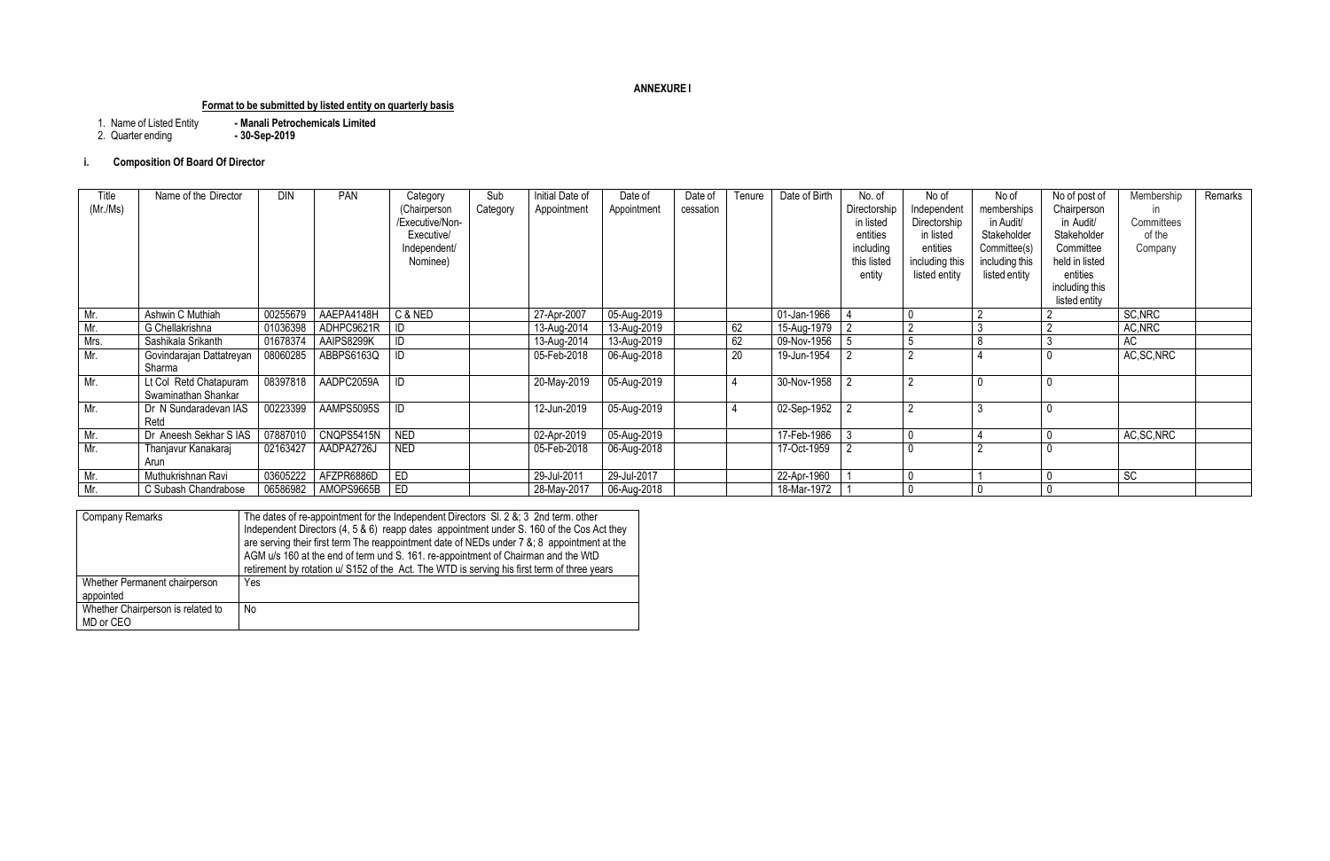## **ANNEXURE I**

# **Format to be submitted by listed entity on quarterly basis**

- Manali Petrochemicals Limited<br>- 30-Sep-2019 1. Name of Listed Entity<br>2. Quarter ending
- 

## **i. Composition Of Board Of Director**

| Company Remarks                                | The dates of re-appointment for the Independent Directors $SI. 2 & 8$ ; 3 2nd term. other<br>Independent Directors (4, 5 & 6) reapp dates appointment under S. 160 of the Cos Act they<br>are serving their first term The reappointment date of NEDs under 7 &; 8 appointment at the<br>AGM u/s 160 at the end of term und S. 161. re-appointment of Chairman and the WtD<br>retirement by rotation u/ S152 of the Act. The WTD is serving his first term of three years |
|------------------------------------------------|---------------------------------------------------------------------------------------------------------------------------------------------------------------------------------------------------------------------------------------------------------------------------------------------------------------------------------------------------------------------------------------------------------------------------------------------------------------------------|
| Whether Permanent chairperson<br>appointed     | Yes                                                                                                                                                                                                                                                                                                                                                                                                                                                                       |
| Whether Chairperson is related to<br>MD or CEO | No                                                                                                                                                                                                                                                                                                                                                                                                                                                                        |

| Title<br>(Mr/Ms) | Name of the Director                          | <b>DIN</b> | <b>PAN</b>            | Category<br>(Chairperson<br>Executive/Non-<br>Executive/<br>Independent/<br>Nominee) | Sub<br>Category | Initial Date of<br>Appointment | Date of<br>Appointment | Date of<br>cessation | Tenure          | Date of Birth | No. of<br>Directorship<br>in listed<br>entities<br>including<br>this listed<br>entity | No of<br>Independent<br>Directorship<br>in listed<br>entities<br>including this<br>listed entity | No of<br>memberships<br>in Audit/<br>Stakeholder<br>Committee(s)<br>including this<br>listed entity | No of post of<br>Chairperson<br>in Audit/<br>Stakeholder<br>Committee<br>held in listed<br>entities<br>including this<br>listed entity | Membership<br>in.<br>Committees<br>of the<br>Company | Remarks |
|------------------|-----------------------------------------------|------------|-----------------------|--------------------------------------------------------------------------------------|-----------------|--------------------------------|------------------------|----------------------|-----------------|---------------|---------------------------------------------------------------------------------------|--------------------------------------------------------------------------------------------------|-----------------------------------------------------------------------------------------------------|----------------------------------------------------------------------------------------------------------------------------------------|------------------------------------------------------|---------|
| Mr.              | Ashwin C Muthiah                              | 00255679   | AAEPA4148H            | C & NED                                                                              |                 | 27-Apr-2007                    | 05-Aug-2019            |                      |                 | 01-Jan-1966   |                                                                                       |                                                                                                  |                                                                                                     |                                                                                                                                        | SC, NRC                                              |         |
| Mr.              | G Chellakrishna                               | 01036398   | ADHPC9621R   ID       |                                                                                      |                 | 13-Aug-2014                    | 13-Aug-2019            |                      | 62              | 15-Aug-1979   | $\sqrt{2}$                                                                            |                                                                                                  |                                                                                                     |                                                                                                                                        | AC, NRC                                              |         |
| Mrs.             | Sashikala Srikanth                            | 01678374   | AAIPS8299K            | $\vert$ ID                                                                           |                 | 13-Aug-2014                    | 13-Aug-2019            |                      | 62              | 09-Nov-1956   | -5                                                                                    |                                                                                                  |                                                                                                     |                                                                                                                                        | AC                                                   |         |
| Mr.              | Govindarajan Dattatreyan<br>Sharma            | 08060285   | ABBPS6163Q            | $\vert$ ID                                                                           |                 | 05-Feb-2018                    | 06-Aug-2018            |                      | $\overline{20}$ | 19-Jun-1954   |                                                                                       | $\sim$                                                                                           |                                                                                                     |                                                                                                                                        | AC, SC, NRC                                          |         |
| Mr.              | Lt Col Retd Chatapuram<br>Swaminathan Shankar | 08397818   | AADPC2059A            | $\overline{\Box}$                                                                    |                 | 20-May-2019                    | 05-Aug-2019            |                      |                 | 30-Nov-1958   |                                                                                       |                                                                                                  |                                                                                                     |                                                                                                                                        |                                                      |         |
| Mr.              | Dr N Sundaradevan IAS<br>Retd                 | 00223399   | AAMPS5095S            | $\blacksquare$                                                                       |                 | 12-Jun-2019                    | 05-Aug-2019            |                      |                 | 02-Sep-1952   | $\overline{2}$                                                                        |                                                                                                  |                                                                                                     |                                                                                                                                        |                                                      |         |
| Mr.              | Dr Aneesh Sekhar S IAS                        | 07887010   | CNQPS5415N            | NED                                                                                  |                 | 02-Apr-2019                    | 05-Aug-2019            |                      |                 | 17-Feb-1986   | -3                                                                                    |                                                                                                  |                                                                                                     |                                                                                                                                        | AC, SC, NRC                                          |         |
| Mr.              | Thanjavur Kanakaraj<br>Arun                   | 02163427   | AADPA2726J            | <b>NED</b>                                                                           |                 | 05-Feb-2018                    | 06-Aug-2018            |                      |                 | 17-Oct-1959   |                                                                                       |                                                                                                  |                                                                                                     |                                                                                                                                        |                                                      |         |
| Mr.              | Muthukrishnan Ravi                            | 03605222   | AFZPR6886D            | ED                                                                                   |                 | 29-Jul-2011                    | 29-Jul-2017            |                      |                 | 22-Apr-1960   |                                                                                       |                                                                                                  |                                                                                                     |                                                                                                                                        | $\overline{SC}$                                      |         |
| Mr.              | C Subash Chandrabose                          |            | 06586982   AMOPS9665B | ED                                                                                   |                 | 28-May-2017                    | 06-Aug-2018            |                      |                 | 18-Mar-1972   |                                                                                       |                                                                                                  |                                                                                                     |                                                                                                                                        |                                                      |         |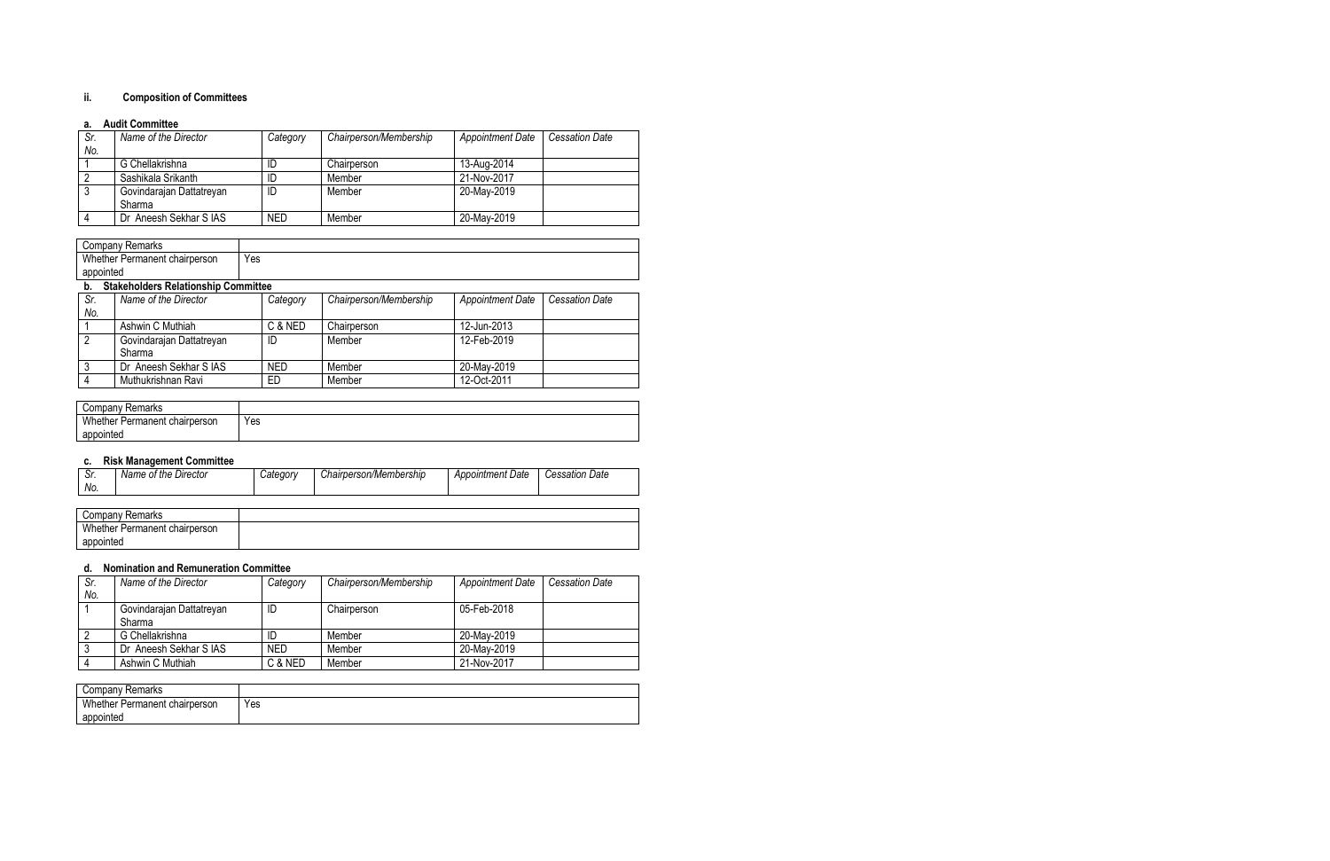### **ii. Composition of Committees**

#### **a. Audit Committee**

| Sr. | Name of the Director     | Category   | Chairperson/Membership | <b>Appointment Date</b> | <b>Cessation Date</b> |
|-----|--------------------------|------------|------------------------|-------------------------|-----------------------|
| No. |                          |            |                        |                         |                       |
|     | G Chellakrishna          | ID         | Chairperson            | 13-Aug-2014             |                       |
|     | Sashikala Srikanth       | ID         | Member                 | 21-Nov-2017             |                       |
|     | Govindarajan Dattatreyan | ID         | Member                 | 20-May-2019             |                       |
|     | Sharma                   |            |                        |                         |                       |
|     | Dr Aneesh Sekhar S IAS   | <b>NED</b> | Member                 | 20-May-2019             |                       |

|           | <b>Company Remarks</b>                     |            |                        |                         |                       |
|-----------|--------------------------------------------|------------|------------------------|-------------------------|-----------------------|
|           | Whether Permanent chairperson              | Yes        |                        |                         |                       |
| appointed |                                            |            |                        |                         |                       |
| b.        | <b>Stakeholders Relationship Committee</b> |            |                        |                         |                       |
| Sr.       | Name of the Director                       | Category   | Chairperson/Membership | <b>Appointment Date</b> | <b>Cessation Date</b> |
| No.       |                                            |            |                        |                         |                       |
|           | Ashwin C Muthiah                           | C & NED    | Chairperson            | 12-Jun-2013             |                       |
| 2         | Govindarajan Dattatreyan                   | ID         | Member                 | 12-Feb-2019             |                       |
|           | Sharma                                     |            |                        |                         |                       |
| 3         | Dr Aneesh Sekhar S IAS                     | <b>NED</b> | Member                 | 20-May-2019             |                       |
| 4         | Muthukrishnan Ravi                         | ED.        | Member                 | 12-Oct-2011             |                       |

| Company Remarks               |     |
|-------------------------------|-----|
| Whether Permanent chairperson | Yes |
| appointed                     |     |

### **c. Risk Management Committee**

| Company Remarks               |  |
|-------------------------------|--|
| Whether Permanent chairperson |  |
| appointed                     |  |

### **d. Nomination and Remuneration Committee**

| Sr. | Name of the Director     | Category   | Chairperson/Membership | <b>Appointment Date</b> | Cessation Date |
|-----|--------------------------|------------|------------------------|-------------------------|----------------|
| No. |                          |            |                        |                         |                |
|     | Govindarajan Dattatreyan | ID         | Chairperson            | 05-Feb-2018             |                |
|     | Sharma                   |            |                        |                         |                |
|     | G Chellakrishna          | ID         | Member                 | 20-May-2019             |                |
|     | Dr Aneesh Sekhar S IAS   | <b>NED</b> | Member                 | 20-May-2019             |                |
|     | Ashwin C Muthiah         | C & NED    | Member                 | 21-Nov-2017             |                |

| Remarks<br>Company            |     |
|-------------------------------|-----|
| Whether Permanent chairperson | Yes |
| appointed                     |     |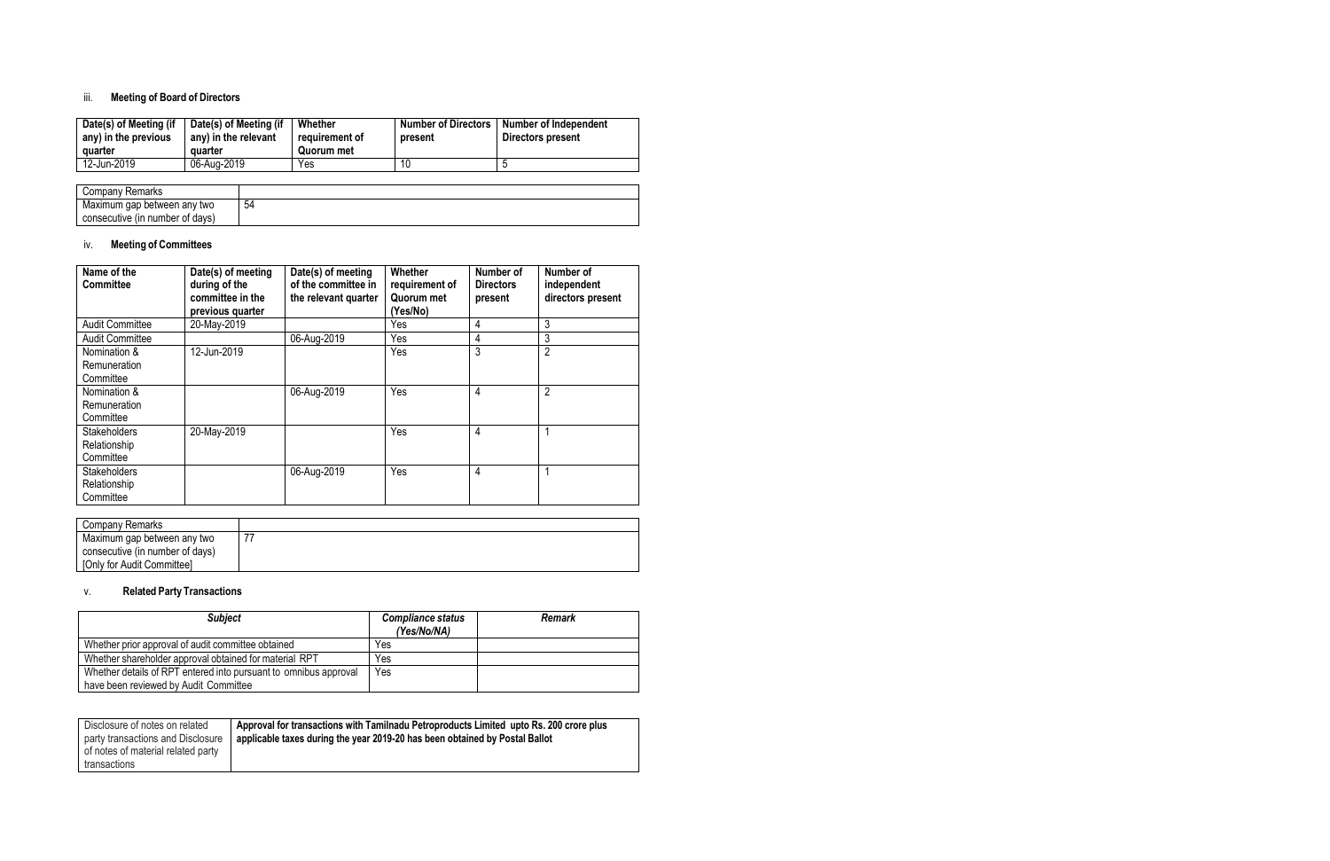## iii. **Meeting of Board of Directors**

| Date(s) of Meeting (if<br>any) in the previous<br>quarter | Date(s) of Meeting (if<br>any) in the relevant<br>quarter | Whether<br>reauirement of<br>Quorum met | <b>Number of Directors</b><br>present | Number of Independent<br>Directors present |
|-----------------------------------------------------------|-----------------------------------------------------------|-----------------------------------------|---------------------------------------|--------------------------------------------|
| 12-Jun-2019                                               | 06-Aug-2019                                               | Yes                                     | 10                                    |                                            |

| Company Remarks                 |    |
|---------------------------------|----|
| Maximum gap between any two     | 54 |
| consecutive (in number of days) |    |

## iv. **Meeting of Committees**

| Name of the<br><b>Committee</b>                  | Date(s) of meeting<br>during of the<br>committee in the<br>previous quarter | Date(s) of meeting<br>of the committee in<br>the relevant quarter | Whether<br>requirement of<br>Quorum met<br>(Yes/No) | Number of<br><b>Directors</b><br>present | Number of<br>independent<br>directors present |
|--------------------------------------------------|-----------------------------------------------------------------------------|-------------------------------------------------------------------|-----------------------------------------------------|------------------------------------------|-----------------------------------------------|
| <b>Audit Committee</b>                           | 20-May-2019                                                                 |                                                                   | Yes                                                 | 4                                        | 3                                             |
| <b>Audit Committee</b>                           |                                                                             | 06-Aug-2019                                                       | Yes                                                 | 4                                        | 3                                             |
| Nomination &<br>Remuneration<br>Committee        | 12-Jun-2019                                                                 |                                                                   | Yes                                                 | 3                                        | $\overline{2}$                                |
| Nomination &<br>Remuneration<br>Committee        |                                                                             | 06-Aug-2019                                                       | Yes                                                 | 4                                        | $\overline{2}$                                |
| <b>Stakeholders</b><br>Relationship<br>Committee | 20-May-2019                                                                 |                                                                   | Yes                                                 | 4                                        | 1                                             |
| <b>Stakeholders</b><br>Relationship<br>Committee |                                                                             | 06-Aug-2019                                                       | Yes                                                 | $\overline{4}$                           | 1                                             |

| Company Remarks                 |  |
|---------------------------------|--|
| Maximum gap between any two     |  |
| consecutive (in number of days) |  |
| [Only for Audit Committee]      |  |

### v. **Related Party Transactions**

| <b>Subject</b>                                                   | Compliance status<br>(Yes/No/NA) | <b>Remark</b> |
|------------------------------------------------------------------|----------------------------------|---------------|
| Whether prior approval of audit committee obtained               | Yes                              |               |
| Whether shareholder approval obtained for material RPT           | Yes                              |               |
| Whether details of RPT entered into pursuant to omnibus approval | Yes                              |               |
| have been reviewed by Audit Committee                            |                                  |               |

| Disclosure of notes on related<br>party transactions and Disclosure | Approval for transactions with Tamilnadu Petroproducts Limited upto Rs. 200 crore plus<br>applicable taxes during the year 2019-20 has been obtained by Postal Ballot |
|---------------------------------------------------------------------|-----------------------------------------------------------------------------------------------------------------------------------------------------------------------|
| of notes of material related party                                  |                                                                                                                                                                       |
| transactions                                                        |                                                                                                                                                                       |